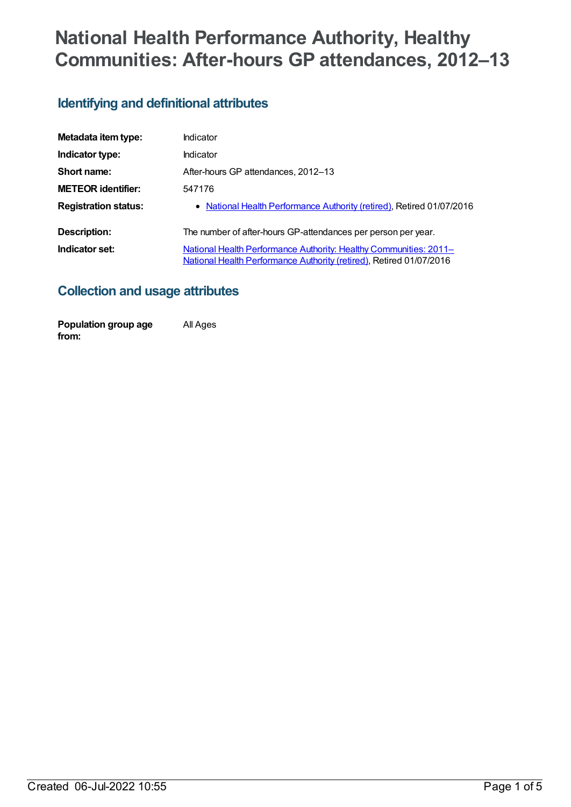# **National Health Performance Authority, Healthy Communities: After-hours GP attendances, 2012–13**

### **Identifying and definitional attributes**

| Metadata item type:         | Indicator                                                                                                                                       |
|-----------------------------|-------------------------------------------------------------------------------------------------------------------------------------------------|
| Indicator type:             | Indicator                                                                                                                                       |
| Short name:                 | After-hours GP attendances, 2012-13                                                                                                             |
| <b>METEOR identifier:</b>   | 547176                                                                                                                                          |
| <b>Registration status:</b> | • National Health Performance Authority (retired), Retired 01/07/2016                                                                           |
| Description:                | The number of after-hours GP-attendances per person per year.                                                                                   |
| Indicator set:              | <b>National Health Performance Authority: Healthy Communities: 2011-</b><br>National Health Performance Authority (retired), Retired 01/07/2016 |

#### **Collection and usage attributes**

**Population group age from:** All Ages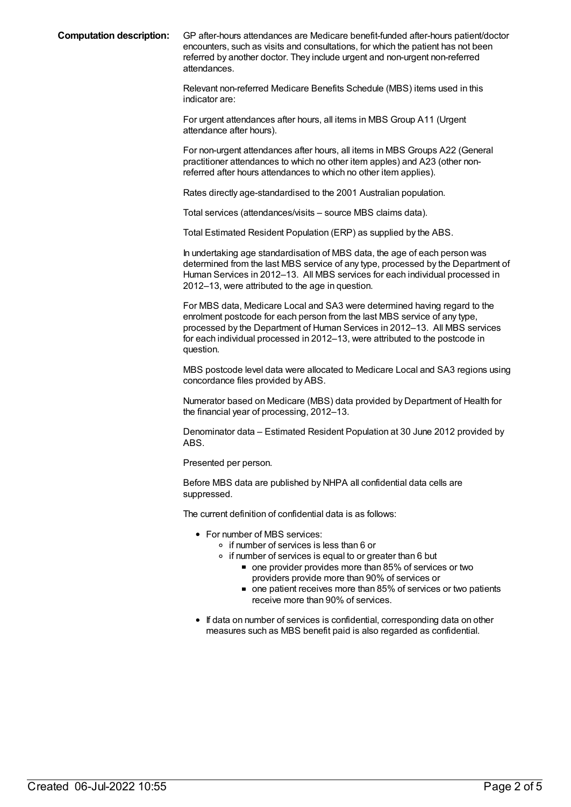**Computation description:** GP after-hours attendances are Medicare benefit-funded after-hours patient/doctor encounters, such as visits and consultations, for which the patient has not been referred by another doctor. They include urgent and non-urgent non-referred attendances.

> Relevant non-referred Medicare Benefits Schedule (MBS) items used in this indicator are:

For urgent attendances after hours, all items in MBS Group A11 (Urgent attendance after hours).

For non-urgent attendances after hours, all items in MBS Groups A22 (General practitioner attendances to which no other item apples) and A23 (other nonreferred after hours attendances to which no other item applies).

Rates directly age-standardised to the 2001 Australian population.

Total services (attendances/visits – source MBS claims data).

Total Estimated Resident Population (ERP) as supplied by the ABS.

In undertaking age standardisation of MBS data, the age of each person was determined from the last MBS service of any type, processed by the Department of Human Services in 2012–13. All MBS services for each individual processed in 2012–13, were attributed to the age in question.

For MBS data, Medicare Local and SA3 were determined having regard to the enrolment postcode for each person from the last MBS service of any type, processed by the Department of Human Services in 2012–13. All MBS services for each individual processed in 2012–13, were attributed to the postcode in question.

MBS postcode level data were allocated to Medicare Local and SA3 regions using concordance files provided by ABS.

Numerator based on Medicare (MBS) data provided by Department of Health for the financial year of processing, 2012–13.

Denominator data – Estimated Resident Population at 30 June 2012 provided by ABS.

Presented per person.

Before MBS data are published by NHPA all confidential data cells are suppressed.

The current definition of confidential data is as follows:

- For number of MBS services:
	- if number of services is less than 6 or
	- $\circ$  if number of services is equal to or greater than 6 but
		- one provider provides more than 85% of services or two providers provide more than 90% of services or
		- one patient receives more than 85% of services or two patients receive more than 90% of services.
- If data on number of services is confidential, corresponding data on other measures such as MBS benefit paid is also regarded as confidential.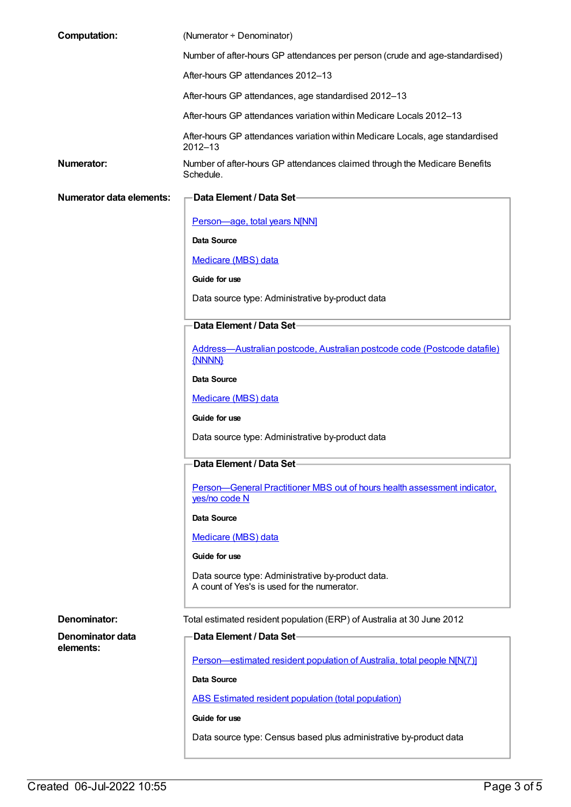| <b>Computation:</b>             | (Numerator + Denominator)                                                                        |
|---------------------------------|--------------------------------------------------------------------------------------------------|
|                                 | Number of after-hours GP attendances per person (crude and age-standardised)                     |
|                                 | After-hours GP attendances 2012-13                                                               |
|                                 | After-hours GP attendances, age standardised 2012-13                                             |
|                                 | After-hours GP attendances variation within Medicare Locals 2012-13                              |
|                                 | After-hours GP attendances variation within Medicare Locals, age standardised<br>$2012 - 13$     |
| <b>Numerator:</b>               | Number of after-hours GP attendances claimed through the Medicare Benefits<br>Schedule.          |
| <b>Numerator data elements:</b> | Data Element / Data Set-                                                                         |
|                                 | Person-age, total years N[NN]                                                                    |
|                                 | <b>Data Source</b>                                                                               |
|                                 | <b>Medicare (MBS) data</b>                                                                       |
|                                 | Guide for use                                                                                    |
|                                 | Data source type: Administrative by-product data                                                 |
|                                 | Data Element / Data Set                                                                          |
|                                 | Address-Australian postcode, Australian postcode code (Postcode datafile)<br>{NNNN}              |
|                                 | Data Source                                                                                      |
|                                 | Medicare (MBS) data                                                                              |
|                                 | Guide for use                                                                                    |
|                                 | Data source type: Administrative by-product data                                                 |
|                                 | Data Element / Data Set                                                                          |
|                                 | Person-General Practitioner MBS out of hours health assessment indicator,<br>yes/no code N       |
|                                 | <b>Data Source</b>                                                                               |
|                                 | Medicare (MBS) data                                                                              |
|                                 | Guide for use                                                                                    |
|                                 | Data source type: Administrative by-product data.<br>A count of Yes's is used for the numerator. |
| Denominator:                    | Total estimated resident population (ERP) of Australia at 30 June 2012                           |
| Denominator data                | Data Element / Data Set-                                                                         |
| elements:                       | Person-estimated resident population of Australia, total people N[N(7)]                          |
|                                 | Data Source                                                                                      |
|                                 | ABS Estimated resident population (total population)                                             |
|                                 | Guide for use                                                                                    |
|                                 | Data source type: Census based plus administrative by-product data                               |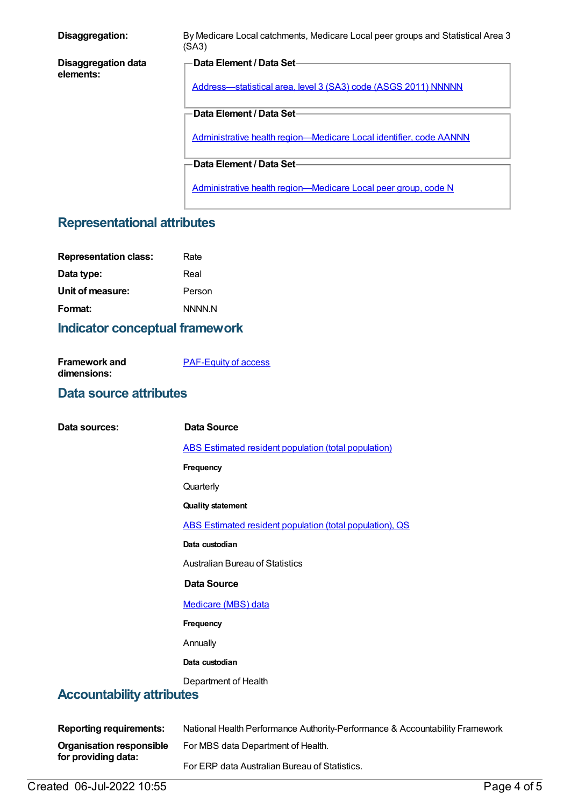| Disaggregation:                         | By Medicare Local catchments, Medicare Local peer groups and Statistical Area 3<br>(SA3)   |
|-----------------------------------------|--------------------------------------------------------------------------------------------|
| <b>Disaggregation data</b><br>elements: | Data Element / Data Set-<br>Address-statistical area, level 3 (SA3) code (ASGS 2011) NNNNN |
|                                         | <b>Data Element / Data Set-</b>                                                            |
|                                         | Administrative health region-Medicare Local identifier, code AANNN                         |
|                                         | <b>Data Element / Data Set-</b>                                                            |
|                                         | Administrative health region-Medicare Local peer group, code N                             |

## **Representational attributes**

| <b>Representation class:</b> | Rate   |
|------------------------------|--------|
| Data type:                   | Real   |
| Unit of measure:             | Person |
| Format:                      | NNNN N |
|                              |        |

## **Indicator conceptual framework**

| <b>Framework and</b> | <b>PAF-Equity of access</b> |
|----------------------|-----------------------------|
| dimensions:          |                             |

#### **Data source attributes**

| Data sources:                    | <b>Data Source</b>                                                           |
|----------------------------------|------------------------------------------------------------------------------|
|                                  | ABS Estimated resident population (total population)                         |
|                                  | Frequency                                                                    |
|                                  | Quarterly                                                                    |
|                                  | <b>Quality statement</b>                                                     |
|                                  | ABS Estimated resident population (total population), QS                     |
|                                  | Data custodian                                                               |
|                                  | <b>Australian Bureau of Statistics</b>                                       |
|                                  | <b>Data Source</b>                                                           |
|                                  | Medicare (MBS) data                                                          |
|                                  | Frequency                                                                    |
|                                  | Annually                                                                     |
|                                  | Data custodian                                                               |
| <b>Accountability attributes</b> | Department of Health                                                         |
| <b>Reporting requirements:</b>   | National Health Performance Authority-Performance & Accountability Framework |